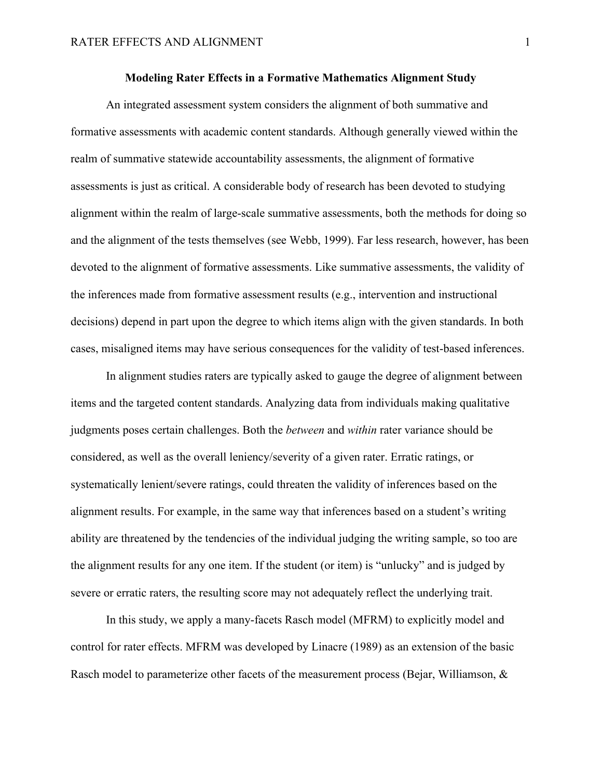#### **Modeling Rater Effects in a Formative Mathematics Alignment Study**

An integrated assessment system considers the alignment of both summative and formative assessments with academic content standards. Although generally viewed within the realm of summative statewide accountability assessments, the alignment of formative assessments is just as critical. A considerable body of research has been devoted to studying alignment within the realm of large-scale summative assessments, both the methods for doing so and the alignment of the tests themselves (see Webb, 1999). Far less research, however, has been devoted to the alignment of formative assessments. Like summative assessments, the validity of the inferences made from formative assessment results (e.g., intervention and instructional decisions) depend in part upon the degree to which items align with the given standards. In both cases, misaligned items may have serious consequences for the validity of test-based inferences.

In alignment studies raters are typically asked to gauge the degree of alignment between items and the targeted content standards. Analyzing data from individuals making qualitative judgments poses certain challenges. Both the *between* and *within* rater variance should be considered, as well as the overall leniency/severity of a given rater. Erratic ratings, or systematically lenient/severe ratings, could threaten the validity of inferences based on the alignment results. For example, in the same way that inferences based on a student's writing ability are threatened by the tendencies of the individual judging the writing sample, so too are the alignment results for any one item. If the student (or item) is "unlucky" and is judged by severe or erratic raters, the resulting score may not adequately reflect the underlying trait.

In this study, we apply a many-facets Rasch model (MFRM) to explicitly model and control for rater effects. MFRM was developed by Linacre (1989) as an extension of the basic Rasch model to parameterize other facets of the measurement process (Bejar, Williamson, &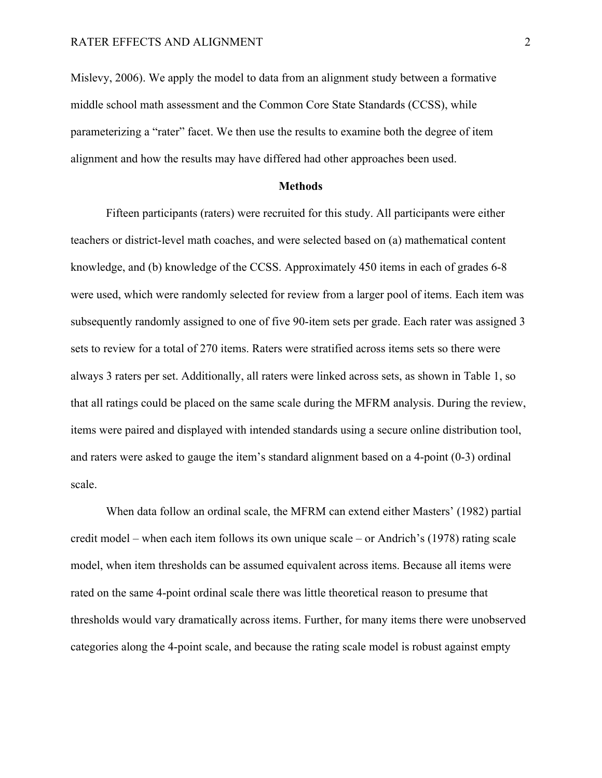Mislevy, 2006). We apply the model to data from an alignment study between a formative middle school math assessment and the Common Core State Standards (CCSS), while parameterizing a "rater" facet. We then use the results to examine both the degree of item alignment and how the results may have differed had other approaches been used.

#### **Methods**

Fifteen participants (raters) were recruited for this study. All participants were either teachers or district-level math coaches, and were selected based on (a) mathematical content knowledge, and (b) knowledge of the CCSS. Approximately 450 items in each of grades 6-8 were used, which were randomly selected for review from a larger pool of items. Each item was subsequently randomly assigned to one of five 90-item sets per grade. Each rater was assigned 3 sets to review for a total of 270 items. Raters were stratified across items sets so there were always 3 raters per set. Additionally, all raters were linked across sets, as shown in Table 1, so that all ratings could be placed on the same scale during the MFRM analysis. During the review, items were paired and displayed with intended standards using a secure online distribution tool, and raters were asked to gauge the item's standard alignment based on a 4-point (0-3) ordinal scale.

When data follow an ordinal scale, the MFRM can extend either Masters' (1982) partial credit model – when each item follows its own unique scale – or Andrich's (1978) rating scale model, when item thresholds can be assumed equivalent across items. Because all items were rated on the same 4-point ordinal scale there was little theoretical reason to presume that thresholds would vary dramatically across items. Further, for many items there were unobserved categories along the 4-point scale, and because the rating scale model is robust against empty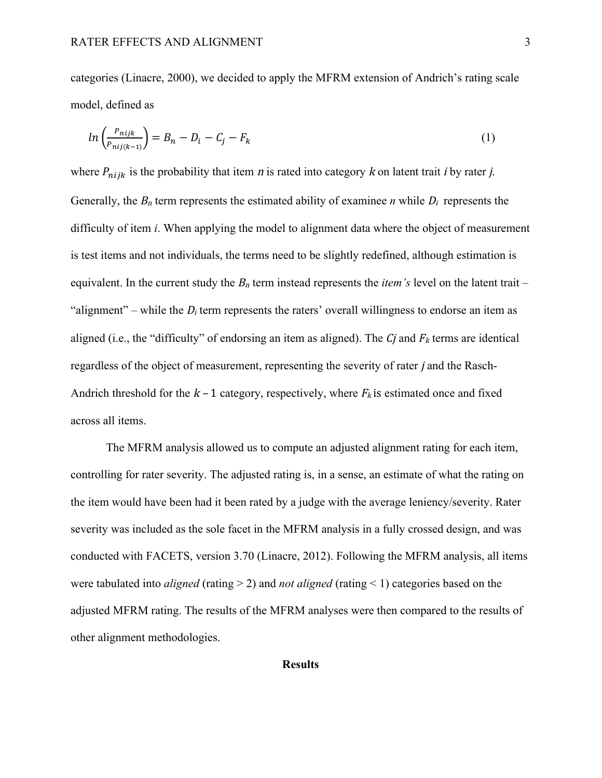categories (Linacre, 2000), we decided to apply the MFRM extension of Andrich's rating scale model, defined as

$$
ln\left(\frac{P_{nijk}}{P_{nij(k-1)}}\right) = B_n - D_i - C_j - F_k
$$
\n(1)

where  $P_{niik}$  is the probability that item *n* is rated into category *k* on latent trait *i* by rater *j*. Generally, the  $B_n$  term represents the estimated ability of examinee *n* while  $D_i$  represents the difficulty of item *i*. When applying the model to alignment data where the object of measurement is test items and not individuals, the terms need to be slightly redefined, although estimation is equivalent. In the current study the  $B_n$  term instead represents the *item's* level on the latent trait – "alignment" – while the  $D_i$  term represents the raters' overall willingness to endorse an item as aligned (i.e., the "difficulty" of endorsing an item as aligned). The  $C_j$  and  $F_k$  terms are identical regardless of the object of measurement, representing the severity of rater j and the Rasch-Andrich threshold for the  $k-1$  category, respectively, where  $F_k$  is estimated once and fixed across all items.

The MFRM analysis allowed us to compute an adjusted alignment rating for each item, controlling for rater severity. The adjusted rating is, in a sense, an estimate of what the rating on the item would have been had it been rated by a judge with the average leniency/severity. Rater severity was included as the sole facet in the MFRM analysis in a fully crossed design, and was conducted with FACETS, version 3.70 (Linacre, 2012). Following the MFRM analysis, all items were tabulated into *aligned* (rating > 2) and *not aligned* (rating < 1) categories based on the adjusted MFRM rating. The results of the MFRM analyses were then compared to the results of other alignment methodologies.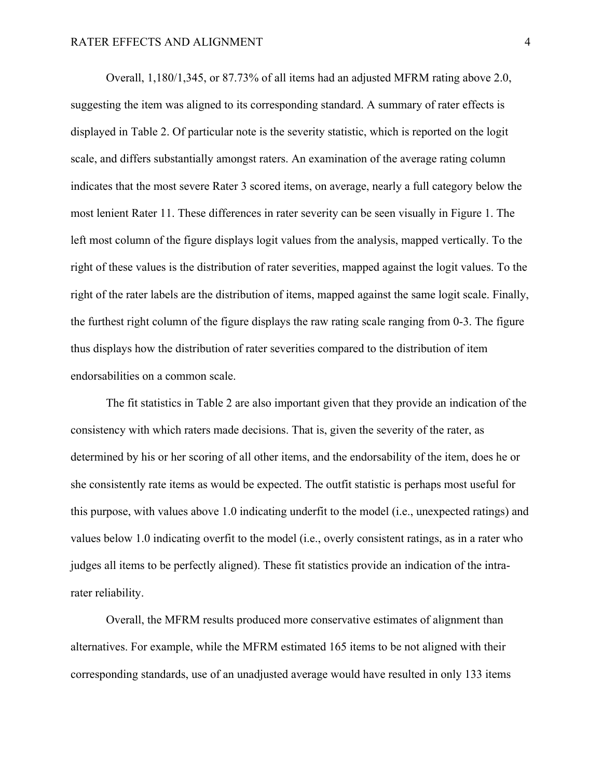Overall, 1,180/1,345, or 87.73% of all items had an adjusted MFRM rating above 2.0, suggesting the item was aligned to its corresponding standard. A summary of rater effects is displayed in Table 2. Of particular note is the severity statistic, which is reported on the logit scale, and differs substantially amongst raters. An examination of the average rating column indicates that the most severe Rater 3 scored items, on average, nearly a full category below the most lenient Rater 11. These differences in rater severity can be seen visually in Figure 1. The left most column of the figure displays logit values from the analysis, mapped vertically. To the right of these values is the distribution of rater severities, mapped against the logit values. To the right of the rater labels are the distribution of items, mapped against the same logit scale. Finally, the furthest right column of the figure displays the raw rating scale ranging from 0-3. The figure thus displays how the distribution of rater severities compared to the distribution of item endorsabilities on a common scale.

The fit statistics in Table 2 are also important given that they provide an indication of the consistency with which raters made decisions. That is, given the severity of the rater, as determined by his or her scoring of all other items, and the endorsability of the item, does he or she consistently rate items as would be expected. The outfit statistic is perhaps most useful for this purpose, with values above 1.0 indicating underfit to the model (i.e., unexpected ratings) and values below 1.0 indicating overfit to the model (i.e., overly consistent ratings, as in a rater who judges all items to be perfectly aligned). These fit statistics provide an indication of the intrarater reliability.

Overall, the MFRM results produced more conservative estimates of alignment than alternatives. For example, while the MFRM estimated 165 items to be not aligned with their corresponding standards, use of an unadjusted average would have resulted in only 133 items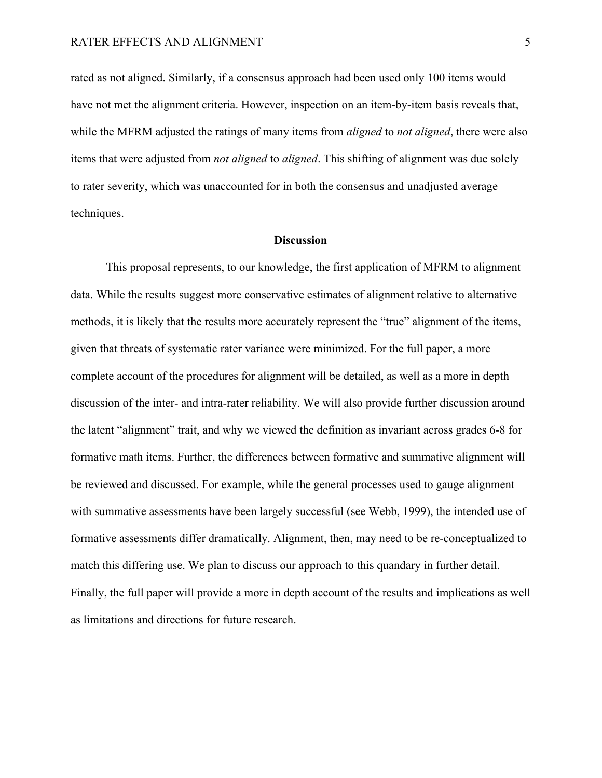#### RATER EFFECTS AND ALIGNMENT 5

rated as not aligned. Similarly, if a consensus approach had been used only 100 items would have not met the alignment criteria. However, inspection on an item-by-item basis reveals that, while the MFRM adjusted the ratings of many items from *aligned* to *not aligned*, there were also items that were adjusted from *not aligned* to *aligned*. This shifting of alignment was due solely to rater severity, which was unaccounted for in both the consensus and unadjusted average techniques.

#### **Discussion**

This proposal represents, to our knowledge, the first application of MFRM to alignment data. While the results suggest more conservative estimates of alignment relative to alternative methods, it is likely that the results more accurately represent the "true" alignment of the items, given that threats of systematic rater variance were minimized. For the full paper, a more complete account of the procedures for alignment will be detailed, as well as a more in depth discussion of the inter- and intra-rater reliability. We will also provide further discussion around the latent "alignment" trait, and why we viewed the definition as invariant across grades 6-8 for formative math items. Further, the differences between formative and summative alignment will be reviewed and discussed. For example, while the general processes used to gauge alignment with summative assessments have been largely successful (see Webb, 1999), the intended use of formative assessments differ dramatically. Alignment, then, may need to be re-conceptualized to match this differing use. We plan to discuss our approach to this quandary in further detail. Finally, the full paper will provide a more in depth account of the results and implications as well as limitations and directions for future research.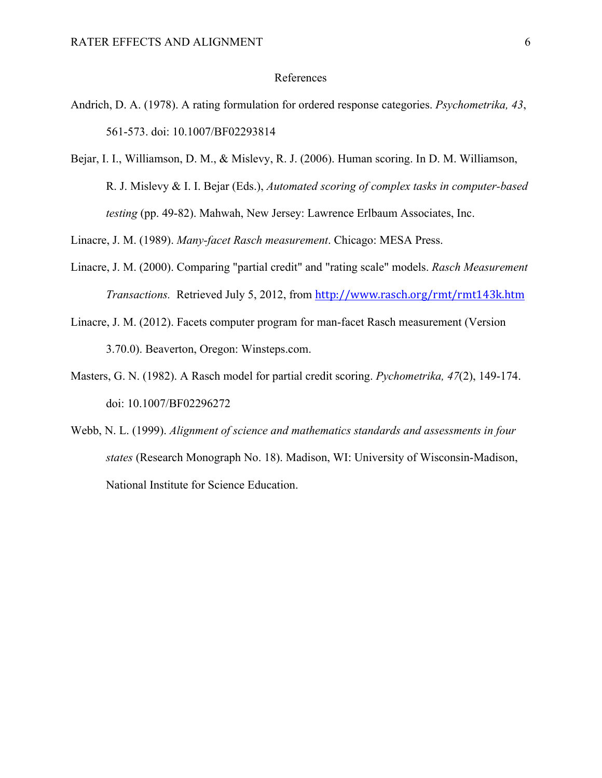#### References

- Andrich, D. A. (1978). A rating formulation for ordered response categories. *Psychometrika, 43*, 561-573. doi: 10.1007/BF02293814
- Bejar, I. I., Williamson, D. M., & Mislevy, R. J. (2006). Human scoring. In D. M. Williamson, R. J. Mislevy & I. I. Bejar (Eds.), *Automated scoring of complex tasks in computer-based testing* (pp. 49-82). Mahwah, New Jersey: Lawrence Erlbaum Associates, Inc.

Linacre, J. M. (1989). *Many-facet Rasch measurement*. Chicago: MESA Press.

- Linacre, J. M. (2000). Comparing "partial credit" and "rating scale" models. *Rasch Measurement Transactions.* Retrieved July 5, 2012, from http://www.rasch.org/rmt/rmt143k.htm
- Linacre, J. M. (2012). Facets computer program for man-facet Rasch measurement (Version 3.70.0). Beaverton, Oregon: Winsteps.com.
- Masters, G. N. (1982). A Rasch model for partial credit scoring. *Pychometrika, 47*(2), 149-174. doi: 10.1007/BF02296272
- Webb, N. L. (1999). *Alignment of science and mathematics standards and assessments in four states* (Research Monograph No. 18). Madison, WI: University of Wisconsin-Madison, National Institute for Science Education.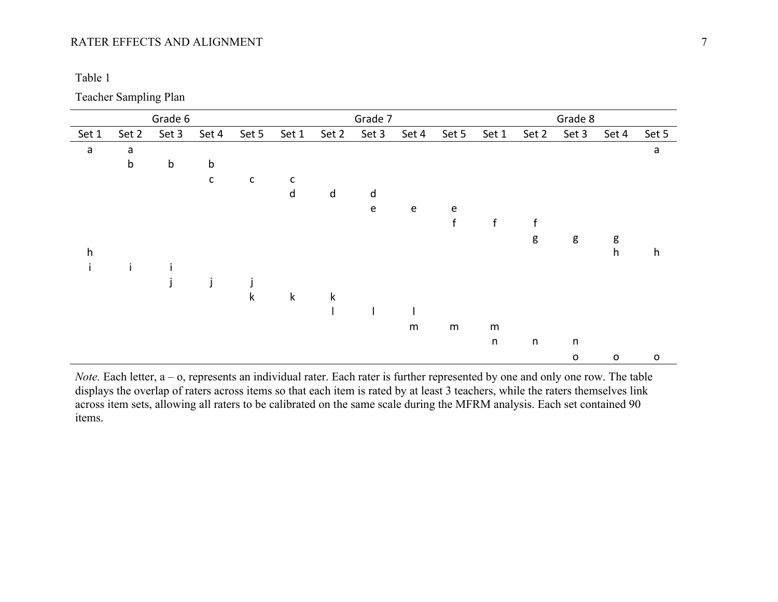### RATER EFFECTS AND ALIGNMENT 7

| . . |  |
|-----|--|
|     |  |

Teacher Sampling Plan

|              |         | Grade 6 |              |              | Grade 7      |             |           |           |              | Grade 8     |             |              |              |             |  |
|--------------|---------|---------|--------------|--------------|--------------|-------------|-----------|-----------|--------------|-------------|-------------|--------------|--------------|-------------|--|
| Set 1        | Set 2   | Set 3   | Set 4        | Set 5        | Set 1        | Set 2       | Set 3     | Set 4     | Set 5        | Set 1       | Set 2       | Set 3        | Set 4        | Set 5       |  |
| $\mathsf a$  | a       |         |              |              |              |             |           |           |              |             |             |              |              | a           |  |
|              | $\sf b$ | b       | $\mathsf b$  |              |              |             |           |           |              |             |             |              |              |             |  |
|              |         |         | $\mathsf{C}$ | $\mathsf{C}$ | $\mathsf{C}$ |             |           |           |              |             |             |              |              |             |  |
|              |         |         |              |              | $\sf d$      | $\sf d$     | d         |           |              |             |             |              |              |             |  |
|              |         |         |              |              |              |             | ${\bf e}$ | ${\bf e}$ | ${\bf e}$    |             |             |              |              |             |  |
|              |         |         |              |              |              |             |           |           | $\mathsf{f}$ | $\mathsf f$ | f           |              |              |             |  |
|              |         |         |              |              |              |             |           |           |              |             | g           | g            | g            |             |  |
| $\mathsf{h}$ |         |         |              |              |              |             |           |           |              |             |             |              | h            | h           |  |
| İ            |         |         |              |              |              |             |           |           |              |             |             |              |              |             |  |
|              |         |         | j            |              |              |             |           |           |              |             |             |              |              |             |  |
|              |         |         |              | k            | $\mathsf k$  | $\mathsf k$ |           |           |              |             |             |              |              |             |  |
|              |         |         |              |              |              |             |           |           |              |             |             |              |              |             |  |
|              |         |         |              |              |              |             |           | ${\sf m}$ | ${\sf m}$    | m           |             |              |              |             |  |
|              |         |         |              |              |              |             |           |           |              | $\sf n$     | $\mathsf n$ | n            |              |             |  |
|              |         |         |              |              |              |             |           |           |              |             |             | $\mathsf{o}$ | $\mathsf{o}$ | $\mathsf O$ |  |

*Note.* Each letter, a – o, represents an individual rater. Each rater is further represented by one and only one row. The table displays the overlap of raters across items so that each item is rated by at least 3 teachers, while the raters themselves link across item sets, allowing all raters to be calibrated on the same scale during the MFRM analysis. Each set contained 90 items.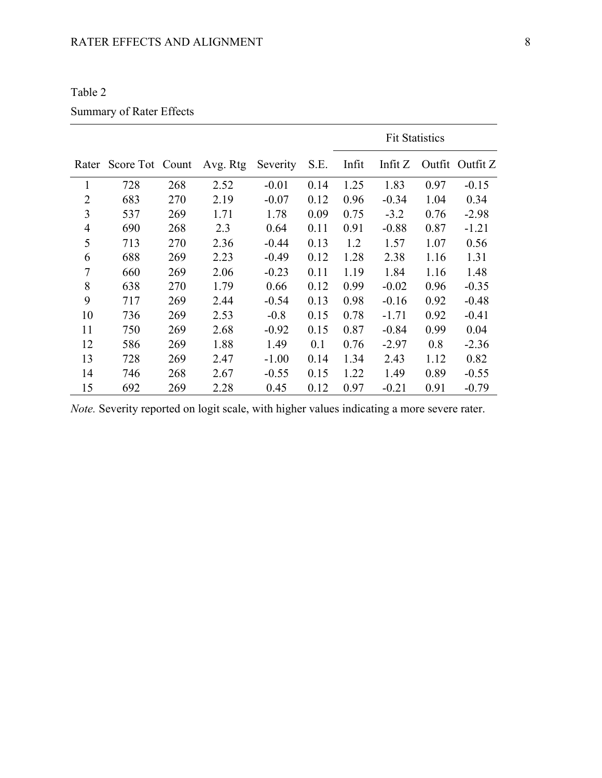| n<br>Π. |
|---------|
|---------|

### Summary of Rater Effects

|                |                 |     |          |          |      |       | <b>Fit Statistics</b> |        |          |
|----------------|-----------------|-----|----------|----------|------|-------|-----------------------|--------|----------|
| Rater          | Score Tot Count |     | Avg. Rtg | Severity | S.E. | Infit | Infit $Z$             | Outfit | Outfit Z |
| 1              | 728             | 268 | 2.52     | $-0.01$  | 0.14 | 1.25  | 1.83                  | 0.97   | $-0.15$  |
| $\overline{2}$ | 683             | 270 | 2.19     | $-0.07$  | 0.12 | 0.96  | $-0.34$               | 1.04   | 0.34     |
| 3              | 537             | 269 | 1.71     | 1.78     | 0.09 | 0.75  | $-3.2$                | 0.76   | $-2.98$  |
| $\overline{4}$ | 690             | 268 | 2.3      | 0.64     | 0.11 | 0.91  | $-0.88$               | 0.87   | $-1.21$  |
| 5              | 713             | 270 | 2.36     | $-0.44$  | 0.13 | 1.2   | 1.57                  | 1.07   | 0.56     |
| 6              | 688             | 269 | 2.23     | $-0.49$  | 0.12 | 1.28  | 2.38                  | 1.16   | 1.31     |
| 7              | 660             | 269 | 2.06     | $-0.23$  | 0.11 | 1.19  | 1.84                  | 1.16   | 1.48     |
| 8              | 638             | 270 | 1.79     | 0.66     | 0.12 | 0.99  | $-0.02$               | 0.96   | $-0.35$  |
| 9              | 717             | 269 | 2.44     | $-0.54$  | 0.13 | 0.98  | $-0.16$               | 0.92   | $-0.48$  |
| 10             | 736             | 269 | 2.53     | $-0.8$   | 0.15 | 0.78  | $-1.71$               | 0.92   | $-0.41$  |
| 11             | 750             | 269 | 2.68     | $-0.92$  | 0.15 | 0.87  | $-0.84$               | 0.99   | 0.04     |
| 12             | 586             | 269 | 1.88     | 1.49     | 0.1  | 0.76  | $-2.97$               | 0.8    | $-2.36$  |
| 13             | 728             | 269 | 2.47     | $-1.00$  | 0.14 | 1.34  | 2.43                  | 1.12   | 0.82     |
| 14             | 746             | 268 | 2.67     | $-0.55$  | 0.15 | 1.22  | 1.49                  | 0.89   | $-0.55$  |
| 15             | 692             | 269 | 2.28     | 0.45     | 0.12 | 0.97  | $-0.21$               | 0.91   | $-0.79$  |

*Note.* Severity reported on logit scale, with higher values indicating a more severe rater.